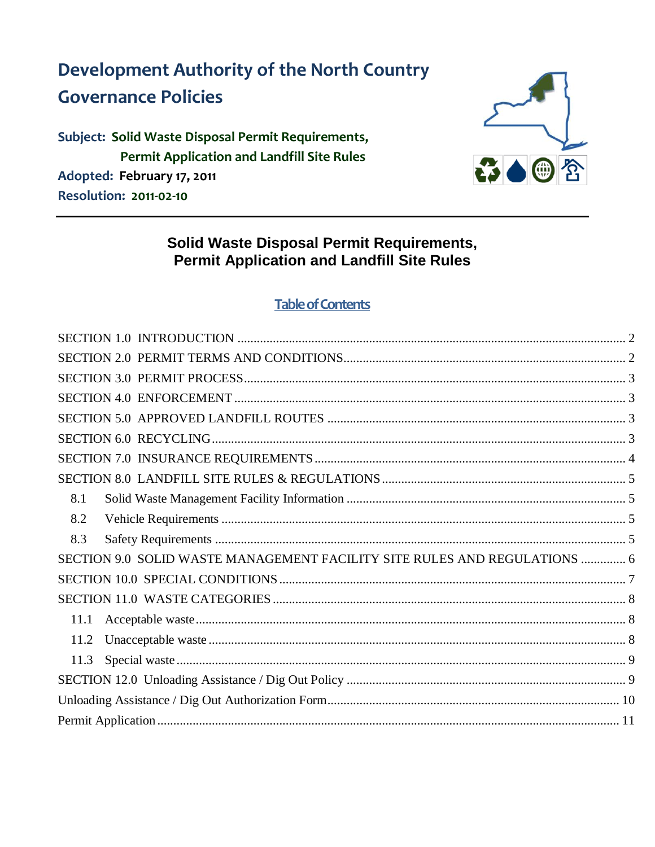**Development Authority of the North Country Governance Policies** 

Subject: Solid Waste Disposal Permit Requirements, **Permit Application and Landfill Site Rules** Adopted: February 17, 2011 **Resolution: 2011-02-10** 



## **Solid Waste Disposal Permit Requirements, Permit Application and Landfill Site Rules**

### **Table of Contents**

<span id="page-0-0"></span>

| 8.1                                                                       |  |
|---------------------------------------------------------------------------|--|
| 8.2                                                                       |  |
| 8.3                                                                       |  |
| SECTION 9.0 SOLID WASTE MANAGEMENT FACILITY SITE RULES AND REGULATIONS  6 |  |
|                                                                           |  |
|                                                                           |  |
| 11.1                                                                      |  |
| 11.2                                                                      |  |
| 11.3                                                                      |  |
|                                                                           |  |
|                                                                           |  |
|                                                                           |  |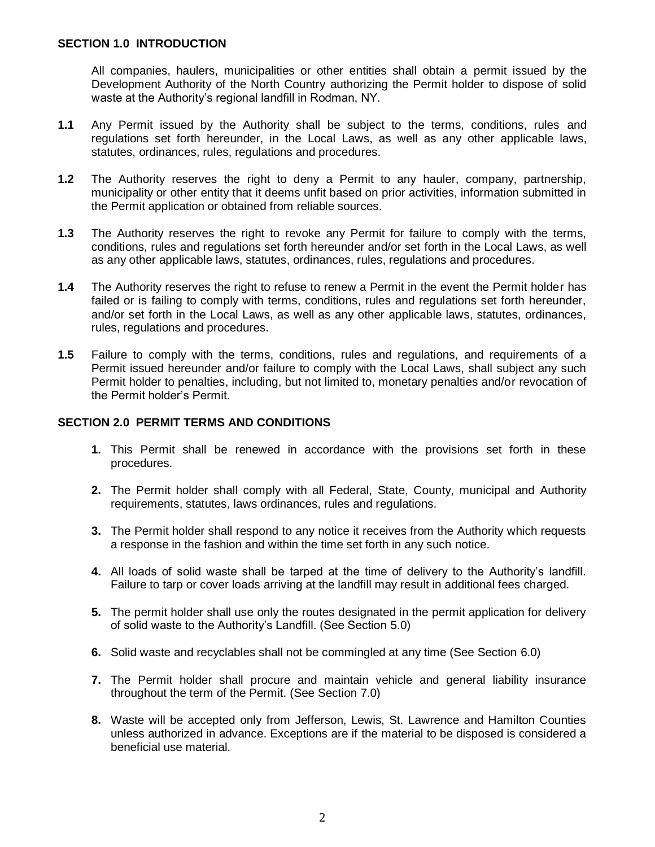All companies, haulers, municipalities or other entities shall obtain a permit issued by the Development Authority of the North Country authorizing the Permit holder to dispose of solid waste at the Authority's regional landfill in Rodman, NY.

- **1.1** Any Permit issued by the Authority shall be subject to the terms, conditions, rules and regulations set forth hereunder, in the Local Laws, as well as any other applicable laws, statutes, ordinances, rules, regulations and procedures.
- **1.2** The Authority reserves the right to deny a Permit to any hauler, company, partnership, municipality or other entity that it deems unfit based on prior activities, information submitted in the Permit application or obtained from reliable sources.
- **1.3** The Authority reserves the right to revoke any Permit for failure to comply with the terms, conditions, rules and regulations set forth hereunder and/or set forth in the Local Laws, as well as any other applicable laws, statutes, ordinances, rules, regulations and procedures.
- **1.4** The Authority reserves the right to refuse to renew a Permit in the event the Permit holder has failed or is failing to comply with terms, conditions, rules and regulations set forth hereunder, and/or set forth in the Local Laws, as well as any other applicable laws, statutes, ordinances, rules, regulations and procedures.
- **1.5** Failure to comply with the terms, conditions, rules and regulations, and requirements of a Permit issued hereunder and/or failure to comply with the Local Laws, shall subject any such Permit holder to penalties, including, but not limited to, monetary penalties and/or revocation of the Permit holder's Permit.

#### <span id="page-1-0"></span>**SECTION 2.0 PERMIT TERMS AND CONDITIONS**

- **1.** This Permit shall be renewed in accordance with the provisions set forth in these procedures.
- **2.** The Permit holder shall comply with all Federal, State, County, municipal and Authority requirements, statutes, laws ordinances, rules and regulations.
- **3.** The Permit holder shall respond to any notice it receives from the Authority which requests a response in the fashion and within the time set forth in any such notice.
- **4.** All loads of solid waste shall be tarped at the time of delivery to the Authority's landfill. Failure to tarp or cover loads arriving at the landfill may result in additional fees charged.
- **5.** The permit holder shall use only the routes designated in the permit application for delivery of solid waste to the Authority's Landfill. (See Section 5.0)
- **6.** Solid waste and recyclables shall not be commingled at any time (See Section 6.0)
- **7.** The Permit holder shall procure and maintain vehicle and general liability insurance throughout the term of the Permit. (See Section 7.0)
- <span id="page-1-1"></span>**8.** Waste will be accepted only from Jefferson, Lewis, St. Lawrence and Hamilton Counties unless authorized in advance. Exceptions are if the material to be disposed is considered a beneficial use material.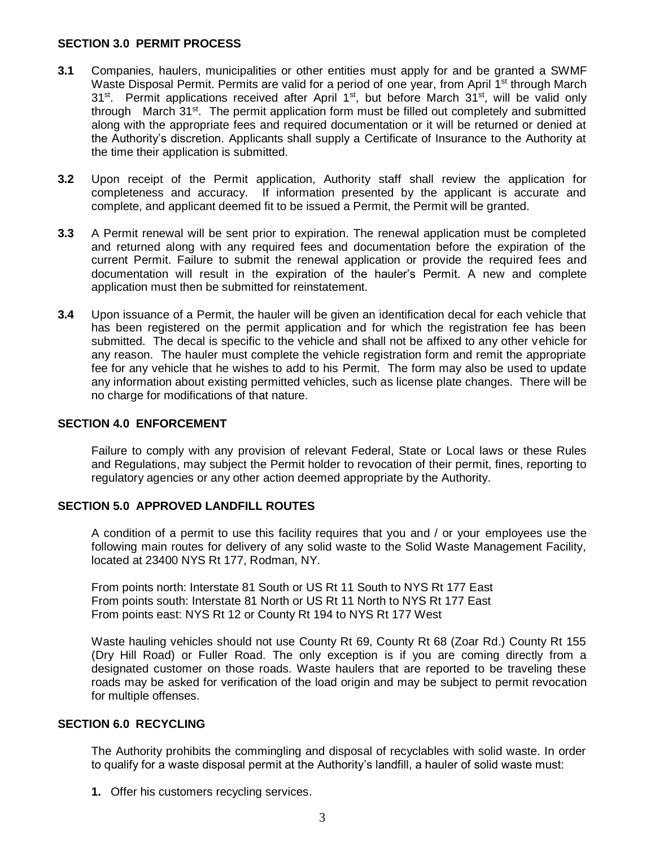#### **SECTION 3.0 PERMIT PROCESS**

- **3.1** Companies, haulers, municipalities or other entities must apply for and be granted a SWMF Waste Disposal Permit. Permits are valid for a period of one year, from April 1<sup>st</sup> through March  $31<sup>st</sup>$ . Permit applications received after April 1<sup>st</sup>, but before March  $31<sup>st</sup>$ , will be valid only through March 31<sup>st</sup>. The permit application form must be filled out completely and submitted along with the appropriate fees and required documentation or it will be returned or denied at the Authority's discretion. Applicants shall supply a Certificate of Insurance to the Authority at the time their application is submitted.
- **3.2** Upon receipt of the Permit application, Authority staff shall review the application for completeness and accuracy. If information presented by the applicant is accurate and complete, and applicant deemed fit to be issued a Permit, the Permit will be granted.
- **3.3** A Permit renewal will be sent prior to expiration. The renewal application must be completed and returned along with any required fees and documentation before the expiration of the current Permit. Failure to submit the renewal application or provide the required fees and documentation will result in the expiration of the hauler's Permit. A new and complete application must then be submitted for reinstatement.
- **3.4** Upon issuance of a Permit, the hauler will be given an identification decal for each vehicle that has been registered on the permit application and for which the registration fee has been submitted. The decal is specific to the vehicle and shall not be affixed to any other vehicle for any reason. The hauler must complete the vehicle registration form and remit the appropriate fee for any vehicle that he wishes to add to his Permit. The form may also be used to update any information about existing permitted vehicles, such as license plate changes. There will be no charge for modifications of that nature.

#### <span id="page-2-0"></span>**SECTION 4.0 ENFORCEMENT**

Failure to comply with any provision of relevant Federal, State or Local laws or these Rules and Regulations, may subject the Permit holder to revocation of their permit, fines, reporting to regulatory agencies or any other action deemed appropriate by the Authority.

#### <span id="page-2-1"></span>**SECTION 5.0 APPROVED LANDFILL ROUTES**

A condition of a permit to use this facility requires that you and / or your employees use the following main routes for delivery of any solid waste to the Solid Waste Management Facility, located at 23400 NYS Rt 177, Rodman, NY.

From points north: Interstate 81 South or US Rt 11 South to NYS Rt 177 East From points south: Interstate 81 North or US Rt 11 North to NYS Rt 177 East From points east: NYS Rt 12 or County Rt 194 to NYS Rt 177 West

Waste hauling vehicles should not use County Rt 69, County Rt 68 (Zoar Rd.) County Rt 155 (Dry Hill Road) or Fuller Road. The only exception is if you are coming directly from a designated customer on those roads. Waste haulers that are reported to be traveling these roads may be asked for verification of the load origin and may be subject to permit revocation for multiple offenses.

#### <span id="page-2-2"></span>**SECTION 6.0 RECYCLING**

The Authority prohibits the commingling and disposal of recyclables with solid waste. In order to qualify for a waste disposal permit at the Authority's landfill, a hauler of solid waste must:

**1.** Offer his customers recycling services.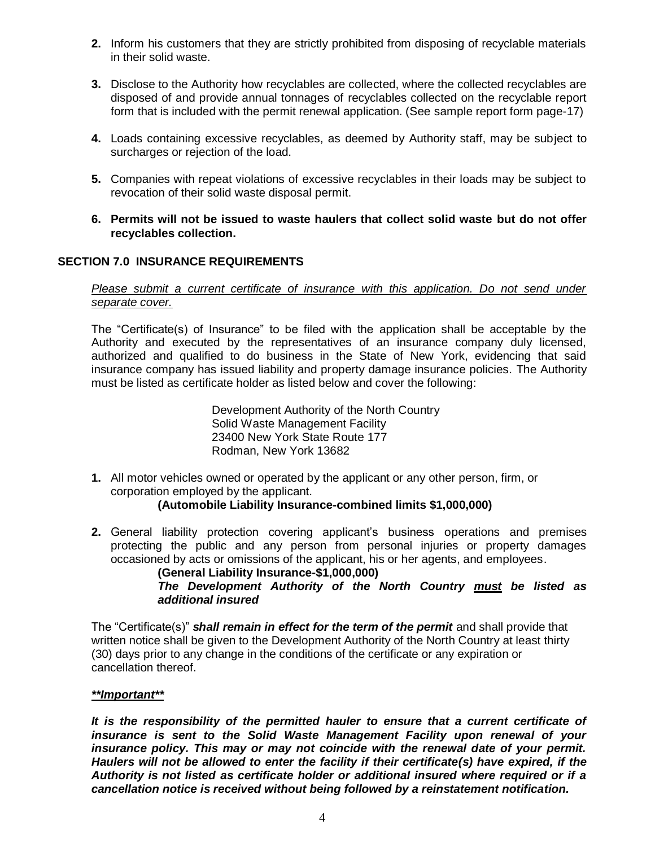- **2.** Inform his customers that they are strictly prohibited from disposing of recyclable materials in their solid waste.
- **3.** Disclose to the Authority how recyclables are collected, where the collected recyclables are disposed of and provide annual tonnages of recyclables collected on the recyclable report form that is included with the permit renewal application. (See sample report form page-17)
- **4.** Loads containing excessive recyclables, as deemed by Authority staff, may be subject to surcharges or rejection of the load.
- **5.** Companies with repeat violations of excessive recyclables in their loads may be subject to revocation of their solid waste disposal permit.
- **6. Permits will not be issued to waste haulers that collect solid waste but do not offer recyclables collection.**

### <span id="page-3-0"></span>**SECTION 7.0 INSURANCE REQUIREMENTS**

*Please submit a current certificate of insurance with this application. Do not send under separate cover.*

The "Certificate(s) of Insurance" to be filed with the application shall be acceptable by the Authority and executed by the representatives of an insurance company duly licensed, authorized and qualified to do business in the State of New York, evidencing that said insurance company has issued liability and property damage insurance policies. The Authority must be listed as certificate holder as listed below and cover the following:

> Development Authority of the North Country Solid Waste Management Facility 23400 New York State Route 177 Rodman, New York 13682

**1.** All motor vehicles owned or operated by the applicant or any other person, firm, or corporation employed by the applicant.

#### **(Automobile Liability Insurance-combined limits \$1,000,000)**

**2.** General liability protection covering applicant's business operations and premises protecting the public and any person from personal injuries or property damages occasioned by acts or omissions of the applicant, his or her agents, and employees.

**(General Liability Insurance-\$1,000,000)** *The Development Authority of the North Country must be listed as additional insured*

The "Certificate(s)" *shall remain in effect for the term of the permit* and shall provide that written notice shall be given to the Development Authority of the North Country at least thirty (30) days prior to any change in the conditions of the certificate or any expiration or cancellation thereof.

#### *\*\*Important\*\**

*It is the responsibility of the permitted hauler to ensure that a current certificate of insurance is sent to the Solid Waste Management Facility upon renewal of your insurance policy. This may or may not coincide with the renewal date of your permit. Haulers will not be allowed to enter the facility if their certificate(s) have expired, if the Authority is not listed as certificate holder or additional insured where required or if a cancellation notice is received without being followed by a reinstatement notification.*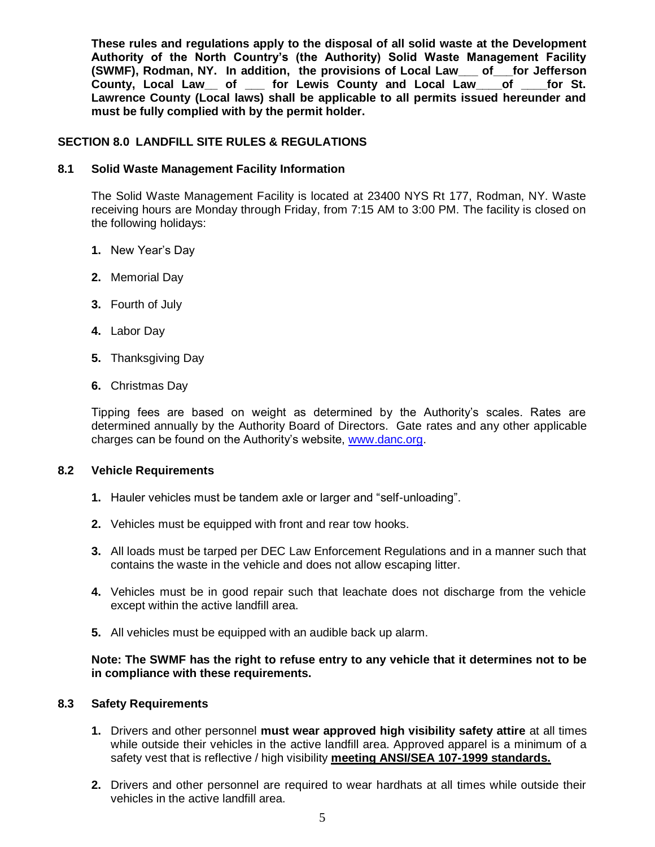**These rules and regulations apply to the disposal of all solid waste at the Development Authority of the North Country's (the Authority) Solid Waste Management Facility (SWMF), Rodman, NY. In addition, the provisions of Local Law\_\_\_ of\_\_\_for Jefferson County, Local Law\_\_ of \_\_\_ for Lewis County and Local Law\_\_\_\_of \_\_\_\_for St. Lawrence County (Local laws) shall be applicable to all permits issued hereunder and must be fully complied with by the permit holder.**

#### <span id="page-4-0"></span>**SECTION 8.0 LANDFILL SITE RULES & REGULATIONS**

#### <span id="page-4-1"></span>**8.1 Solid Waste Management Facility Information**

The Solid Waste Management Facility is located at 23400 NYS Rt 177, Rodman, NY. Waste receiving hours are Monday through Friday, from 7:15 AM to 3:00 PM. The facility is closed on the following holidays:

- **1.** New Year's Day
- **2.** Memorial Day
- **3.** Fourth of July
- **4.** Labor Day
- **5.** Thanksgiving Day
- **6.** Christmas Day

Tipping fees are based on weight as determined by the Authority's scales. Rates are determined annually by the Authority Board of Directors. Gate rates and any other applicable charges can be found on the Authority's website, [www.danc.org.](http://www.danc.org/)

#### <span id="page-4-2"></span>**8.2 Vehicle Requirements**

- **1.** Hauler vehicles must be tandem axle or larger and "self-unloading".
- **2.** Vehicles must be equipped with front and rear tow hooks.
- **3.** All loads must be tarped per DEC Law Enforcement Regulations and in a manner such that contains the waste in the vehicle and does not allow escaping litter.
- **4.** Vehicles must be in good repair such that leachate does not discharge from the vehicle except within the active landfill area.
- **5.** All vehicles must be equipped with an audible back up alarm.

**Note: The SWMF has the right to refuse entry to any vehicle that it determines not to be in compliance with these requirements.**

#### <span id="page-4-3"></span>**8.3 Safety Requirements**

- **1.** Drivers and other personnel **must wear approved high visibility safety attire** at all times while outside their vehicles in the active landfill area. Approved apparel is a minimum of a safety vest that is reflective / high visibility **meeting ANSI/SEA 107-1999 standards.**
- **2.** Drivers and other personnel are required to wear hardhats at all times while outside their vehicles in the active landfill area.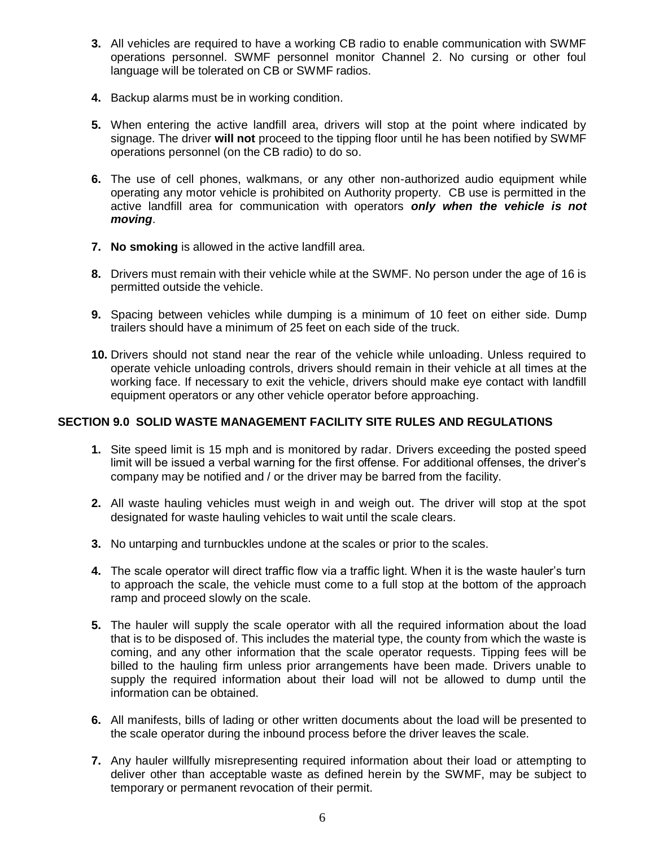- **3.** All vehicles are required to have a working CB radio to enable communication with SWMF operations personnel. SWMF personnel monitor Channel 2. No cursing or other foul language will be tolerated on CB or SWMF radios.
- **4.** Backup alarms must be in working condition.
- **5.** When entering the active landfill area, drivers will stop at the point where indicated by signage. The driver **will not** proceed to the tipping floor until he has been notified by SWMF operations personnel (on the CB radio) to do so.
- **6.** The use of cell phones, walkmans, or any other non-authorized audio equipment while operating any motor vehicle is prohibited on Authority property. CB use is permitted in the active landfill area for communication with operators *only when the vehicle is not moving*.
- **7. No smoking** is allowed in the active landfill area.
- **8.** Drivers must remain with their vehicle while at the SWMF. No person under the age of 16 is permitted outside the vehicle.
- **9.** Spacing between vehicles while dumping is a minimum of 10 feet on either side. Dump trailers should have a minimum of 25 feet on each side of the truck.
- **10.** Drivers should not stand near the rear of the vehicle while unloading. Unless required to operate vehicle unloading controls, drivers should remain in their vehicle at all times at the working face. If necessary to exit the vehicle, drivers should make eye contact with landfill equipment operators or any other vehicle operator before approaching.

#### <span id="page-5-0"></span>**SECTION 9.0 SOLID WASTE MANAGEMENT FACILITY SITE RULES AND REGULATIONS**

- **1.** Site speed limit is 15 mph and is monitored by radar. Drivers exceeding the posted speed limit will be issued a verbal warning for the first offense. For additional offenses, the driver's company may be notified and / or the driver may be barred from the facility.
- **2.** All waste hauling vehicles must weigh in and weigh out. The driver will stop at the spot designated for waste hauling vehicles to wait until the scale clears.
- **3.** No untarping and turnbuckles undone at the scales or prior to the scales.
- **4.** The scale operator will direct traffic flow via a traffic light. When it is the waste hauler's turn to approach the scale, the vehicle must come to a full stop at the bottom of the approach ramp and proceed slowly on the scale.
- **5.** The hauler will supply the scale operator with all the required information about the load that is to be disposed of. This includes the material type, the county from which the waste is coming, and any other information that the scale operator requests. Tipping fees will be billed to the hauling firm unless prior arrangements have been made. Drivers unable to supply the required information about their load will not be allowed to dump until the information can be obtained.
- **6.** All manifests, bills of lading or other written documents about the load will be presented to the scale operator during the inbound process before the driver leaves the scale.
- **7.** Any hauler willfully misrepresenting required information about their load or attempting to deliver other than acceptable waste as defined herein by the SWMF, may be subject to temporary or permanent revocation of their permit.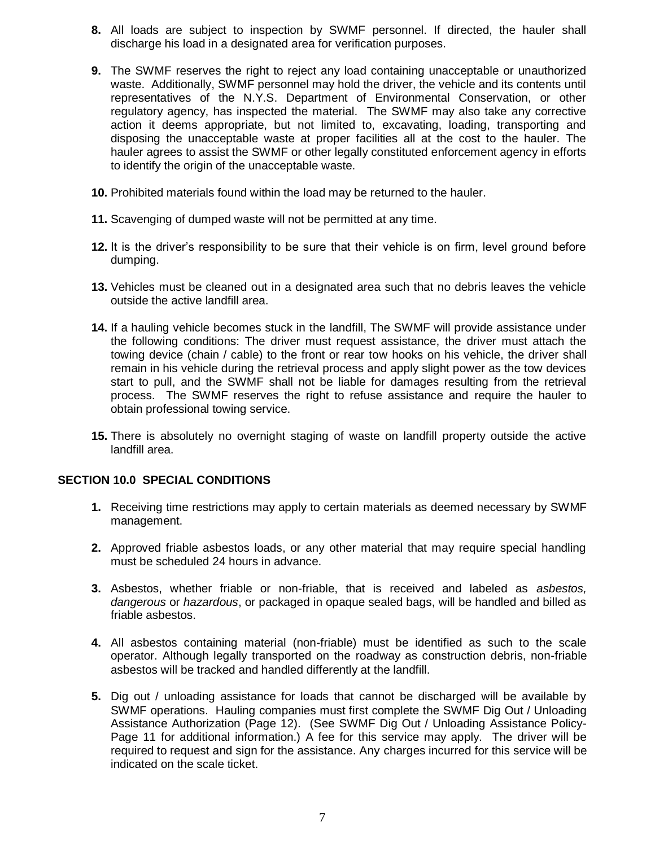- **8.** All loads are subject to inspection by SWMF personnel. If directed, the hauler shall discharge his load in a designated area for verification purposes.
- **9.** The SWMF reserves the right to reject any load containing unacceptable or unauthorized waste. Additionally, SWMF personnel may hold the driver, the vehicle and its contents until representatives of the N.Y.S. Department of Environmental Conservation, or other regulatory agency, has inspected the material. The SWMF may also take any corrective action it deems appropriate, but not limited to, excavating, loading, transporting and disposing the unacceptable waste at proper facilities all at the cost to the hauler. The hauler agrees to assist the SWMF or other legally constituted enforcement agency in efforts to identify the origin of the unacceptable waste.
- **10.** Prohibited materials found within the load may be returned to the hauler.
- **11.** Scavenging of dumped waste will not be permitted at any time.
- **12.** It is the driver's responsibility to be sure that their vehicle is on firm, level ground before dumping.
- **13.** Vehicles must be cleaned out in a designated area such that no debris leaves the vehicle outside the active landfill area.
- **14.** If a hauling vehicle becomes stuck in the landfill, The SWMF will provide assistance under the following conditions: The driver must request assistance, the driver must attach the towing device (chain / cable) to the front or rear tow hooks on his vehicle, the driver shall remain in his vehicle during the retrieval process and apply slight power as the tow devices start to pull, and the SWMF shall not be liable for damages resulting from the retrieval process. The SWMF reserves the right to refuse assistance and require the hauler to obtain professional towing service.
- **15.** There is absolutely no overnight staging of waste on landfill property outside the active landfill area.

#### <span id="page-6-0"></span>**SECTION 10.0 SPECIAL CONDITIONS**

- **1.** Receiving time restrictions may apply to certain materials as deemed necessary by SWMF management.
- **2.** Approved friable asbestos loads, or any other material that may require special handling must be scheduled 24 hours in advance.
- **3.** Asbestos, whether friable or non-friable, that is received and labeled as *asbestos, dangerous* or *hazardous*, or packaged in opaque sealed bags, will be handled and billed as friable asbestos.
- **4.** All asbestos containing material (non-friable) must be identified as such to the scale operator. Although legally transported on the roadway as construction debris, non-friable asbestos will be tracked and handled differently at the landfill.
- **5.** Dig out / unloading assistance for loads that cannot be discharged will be available by SWMF operations. Hauling companies must first complete the SWMF Dig Out / Unloading Assistance Authorization (Page 12). (See SWMF Dig Out / Unloading Assistance Policy-Page 11 for additional information.) A fee for this service may apply. The driver will be required to request and sign for the assistance. Any charges incurred for this service will be indicated on the scale ticket.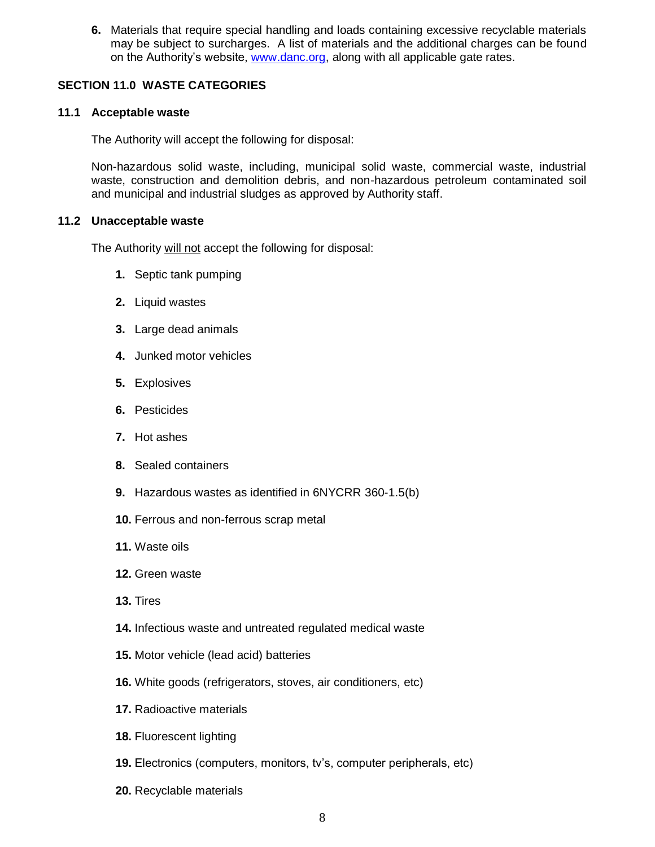**6.** Materials that require special handling and loads containing excessive recyclable materials may be subject to surcharges. A list of materials and the additional charges can be found on the Authority's website, [www.danc.org,](http://www.danc.org/) along with all applicable gate rates.

#### <span id="page-7-0"></span>**SECTION 11.0 WASTE CATEGORIES**

#### <span id="page-7-1"></span>**11.1 Acceptable waste**

The Authority will accept the following for disposal:

Non-hazardous solid waste, including, municipal solid waste, commercial waste, industrial waste, construction and demolition debris, and non-hazardous petroleum contaminated soil and municipal and industrial sludges as approved by Authority staff.

#### <span id="page-7-2"></span>**11.2 Unacceptable waste**

The Authority will not accept the following for disposal:

- **1.** Septic tank pumping
- **2.** Liquid wastes
- **3.** Large dead animals
- **4.** Junked motor vehicles
- **5.** Explosives
- **6.** Pesticides
- **7.** Hot ashes
- **8.** Sealed containers
- **9.** Hazardous wastes as identified in 6NYCRR 360-1.5(b)
- **10.** Ferrous and non-ferrous scrap metal
- **11.** Waste oils
- **12.** Green waste
- **13.** Tires
- **14.** Infectious waste and untreated regulated medical waste
- **15.** Motor vehicle (lead acid) batteries
- **16.** White goods (refrigerators, stoves, air conditioners, etc)
- **17.** Radioactive materials
- **18.** Fluorescent lighting
- **19.** Electronics (computers, monitors, tv's, computer peripherals, etc)
- **20.** Recyclable materials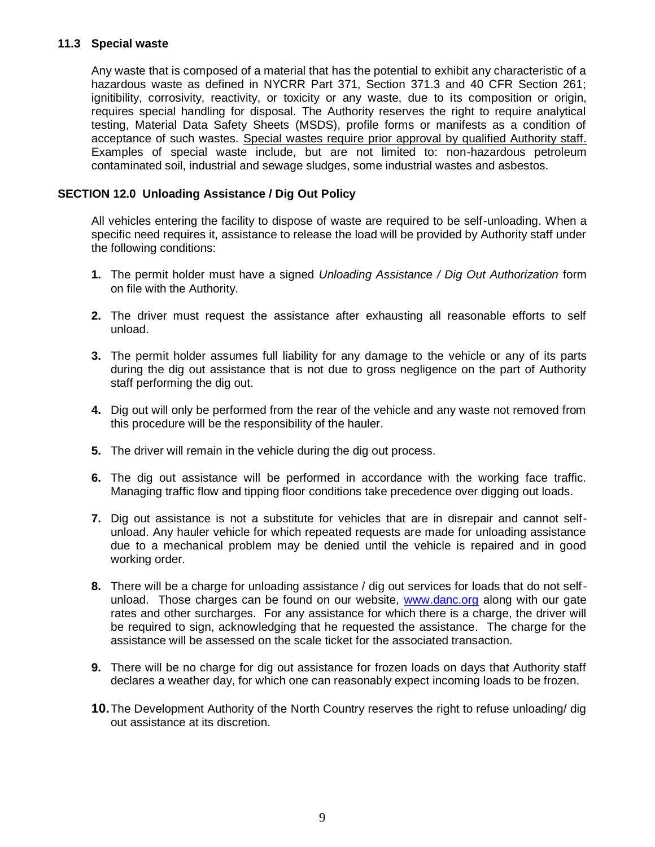#### <span id="page-8-0"></span>**11.3 Special waste**

Any waste that is composed of a material that has the potential to exhibit any characteristic of a hazardous waste as defined in NYCRR Part 371, Section 371.3 and 40 CFR Section 261; ignitibility, corrosivity, reactivity, or toxicity or any waste, due to its composition or origin, requires special handling for disposal. The Authority reserves the right to require analytical testing, Material Data Safety Sheets (MSDS), profile forms or manifests as a condition of acceptance of such wastes. Special wastes require prior approval by qualified Authority staff. Examples of special waste include, but are not limited to: non-hazardous petroleum contaminated soil, industrial and sewage sludges, some industrial wastes and asbestos.

#### <span id="page-8-1"></span>**SECTION 12.0 Unloading Assistance / Dig Out Policy**

All vehicles entering the facility to dispose of waste are required to be self-unloading. When a specific need requires it, assistance to release the load will be provided by Authority staff under the following conditions:

- **1.** The permit holder must have a signed *Unloading Assistance / Dig Out Authorization* form on file with the Authority.
- **2.** The driver must request the assistance after exhausting all reasonable efforts to self unload.
- **3.** The permit holder assumes full liability for any damage to the vehicle or any of its parts during the dig out assistance that is not due to gross negligence on the part of Authority staff performing the dig out.
- **4.** Dig out will only be performed from the rear of the vehicle and any waste not removed from this procedure will be the responsibility of the hauler.
- **5.** The driver will remain in the vehicle during the dig out process.
- **6.** The dig out assistance will be performed in accordance with the working face traffic. Managing traffic flow and tipping floor conditions take precedence over digging out loads.
- **7.** Dig out assistance is not a substitute for vehicles that are in disrepair and cannot selfunload. Any hauler vehicle for which repeated requests are made for unloading assistance due to a mechanical problem may be denied until the vehicle is repaired and in good working order.
- **8.** There will be a charge for unloading assistance / dig out services for loads that do not selfunload. Those charges can be found on our website, [www.danc.org](http://www.danc.org/) along with our gate rates and other surcharges. For any assistance for which there is a charge, the driver will be required to sign, acknowledging that he requested the assistance. The charge for the assistance will be assessed on the scale ticket for the associated transaction.
- **9.** There will be no charge for dig out assistance for frozen loads on days that Authority staff declares a weather day, for which one can reasonably expect incoming loads to be frozen.
- **10.**The Development Authority of the North Country reserves the right to refuse unloading/ dig out assistance at its discretion.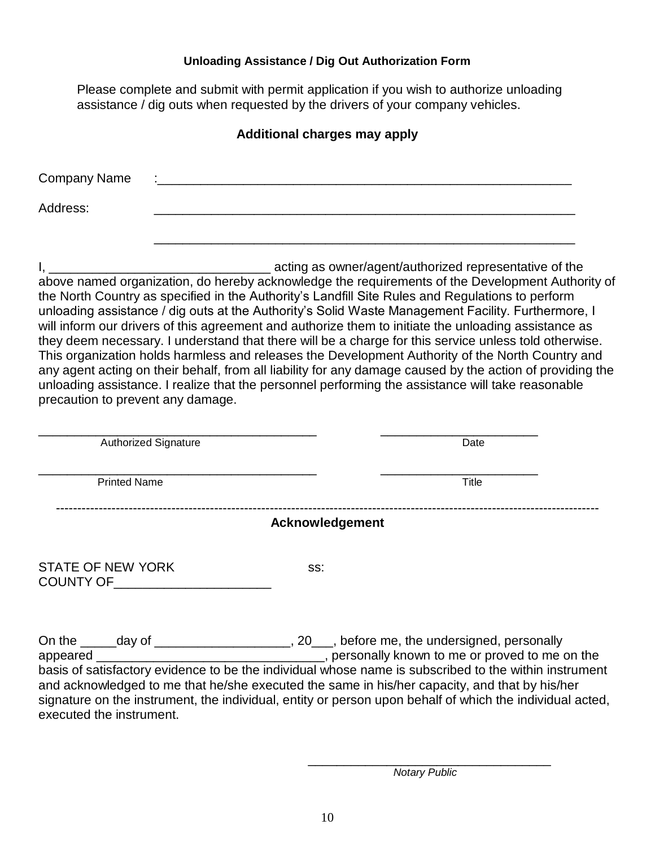#### **Unloading Assistance / Dig Out Authorization Form**

<span id="page-9-0"></span>Please complete and submit with permit application if you wish to authorize unloading assistance / dig outs when requested by the drivers of your company vehicles.

### **Additional charges may apply**

| <b>Company Name</b> | $\cdot$ |
|---------------------|---------|
| Address:            |         |
|                     |         |

I, the contraction of the contraction as owner/agent/authorized representative of the above named organization, do hereby acknowledge the requirements of the Development Authority of the North Country as specified in the Authority's Landfill Site Rules and Regulations to perform unloading assistance / dig outs at the Authority's Solid Waste Management Facility. Furthermore, I will inform our drivers of this agreement and authorize them to initiate the unloading assistance as they deem necessary. I understand that there will be a charge for this service unless told otherwise. This organization holds harmless and releases the Development Authority of the North Country and any agent acting on their behalf, from all liability for any damage caused by the action of providing the unloading assistance. I realize that the personnel performing the assistance will take reasonable precaution to prevent any damage.

| <b>Authorized Signature</b>                              | Date                                                                                                                                                                                                                                               |
|----------------------------------------------------------|----------------------------------------------------------------------------------------------------------------------------------------------------------------------------------------------------------------------------------------------------|
| <b>Printed Name</b>                                      | <b>Title</b>                                                                                                                                                                                                                                       |
|                                                          | Acknowledgement                                                                                                                                                                                                                                    |
| <b>STATE OF NEW YORK</b><br>COUNTY OF <b>EXAMPLE SET</b> | SS:                                                                                                                                                                                                                                                |
| appeared __________                                      | , 20 <sub>, before</sub> me, the undersigned, personally<br>______________________________, personally known to me or proved to me on the<br>basis of satisfactory evidence to be the individual whose name is subscribed to the within instrument |

and acknowledged to me that he/she executed the same in his/her capacity, and that by his/her signature on the instrument, the individual, entity or person upon behalf of which the individual acted. executed the instrument.

> \_\_\_\_\_\_\_\_\_\_\_\_\_\_\_\_\_\_\_\_\_\_\_\_\_\_\_\_\_\_\_\_\_\_ *Notary Public*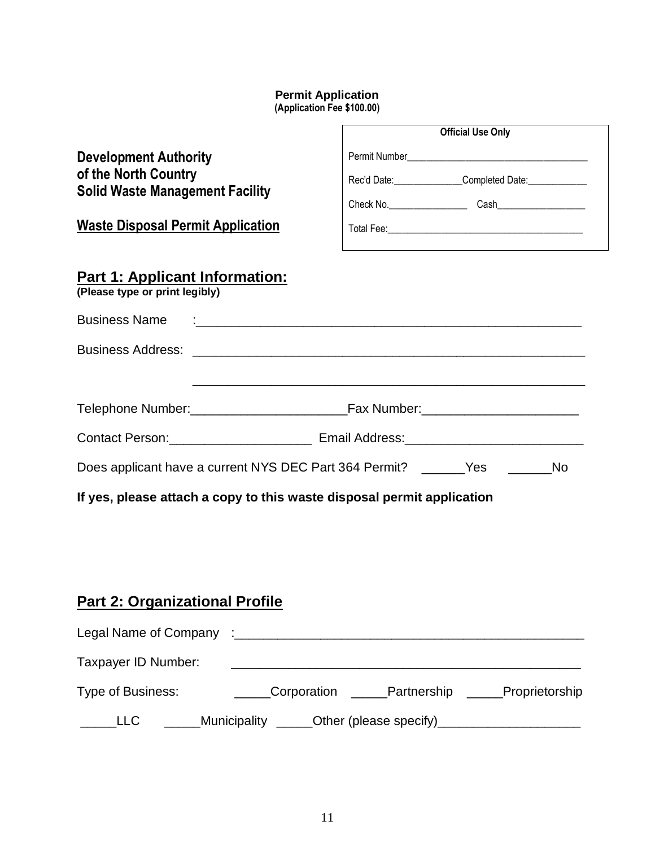#### **Permit Application (Application Fee \$100.00)**

<span id="page-10-0"></span>

|                                                                                                                                            | <b>Official Use Only</b>                                                                           |
|--------------------------------------------------------------------------------------------------------------------------------------------|----------------------------------------------------------------------------------------------------|
| <b>Development Authority</b><br>of the North Country<br><b>Solid Waste Management Facility</b><br><b>Waste Disposal Permit Application</b> | Rec'd Date: Completed Date: COMPLET<br><u> 1989 - Johann Stoff, amerikansk politiker (d. 1989)</u> |
| <b>Part 1: Applicant Information:</b><br>(Please type or print legibly)                                                                    |                                                                                                    |
|                                                                                                                                            |                                                                                                    |
|                                                                                                                                            |                                                                                                    |
|                                                                                                                                            |                                                                                                    |
|                                                                                                                                            |                                                                                                    |
|                                                                                                                                            | Does applicant have a current NYS DEC Part 364 Permit? _______Yes _________No                      |
|                                                                                                                                            | If yes, please attach a copy to this waste disposal permit application                             |

# **Part 2: Organizational Profile**

| Legal Name of Company :___ |                    |                           |                |
|----------------------------|--------------------|---------------------------|----------------|
| Taxpayer ID Number:        |                    |                           |                |
| Type of Business:          | <b>Corporation</b> | Partnership               | Proprietorship |
| - LLC                      | Municipality       | Other (please specify)___ |                |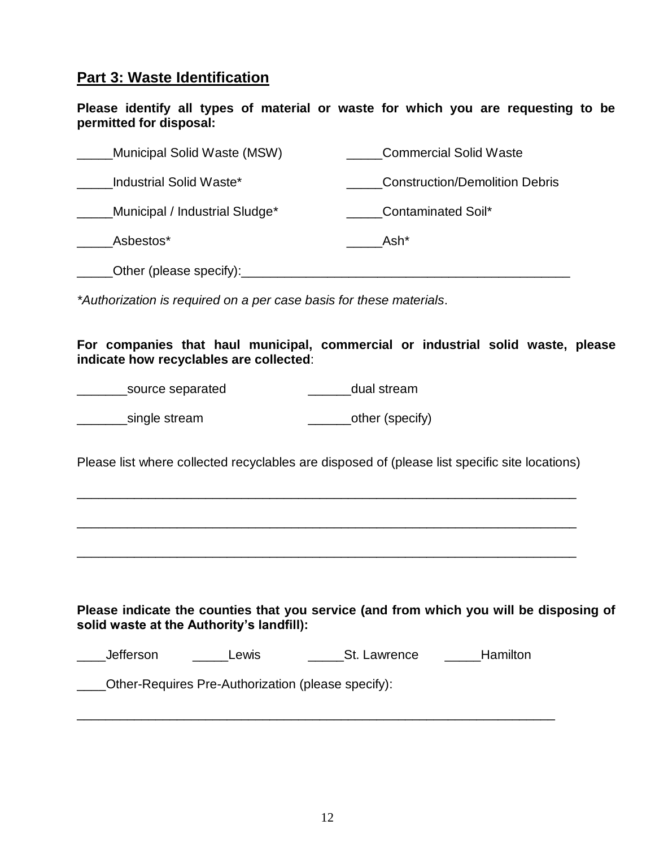### **Part 3: Waste Identification**

**Please identify all types of material or waste for which you are requesting to be permitted for disposal:**

| Municipal Solid Waste (MSW)    | <b>Commercial Solid Waste</b>         |
|--------------------------------|---------------------------------------|
| Industrial Solid Waste*        | <b>Construction/Demolition Debris</b> |
| Municipal / Industrial Sludge* | Contaminated Soil*                    |
| Asbestos*                      | Ash*                                  |
| Other (please specify):        |                                       |

*\*Authorization is required on a per case basis for these materials*.

**For companies that haul municipal, commercial or industrial solid waste, please indicate how recyclables are collected**:

| source separated | dual stream      |
|------------------|------------------|
| single stream    | _other (specify) |

Please list where collected recyclables are disposed of (please list specific site locations)

\_\_\_\_\_\_\_\_\_\_\_\_\_\_\_\_\_\_\_\_\_\_\_\_\_\_\_\_\_\_\_\_\_\_\_\_\_\_\_\_\_\_\_\_\_\_\_\_\_\_\_\_\_\_\_\_\_\_\_\_\_\_\_\_\_\_\_\_\_\_

\_\_\_\_\_\_\_\_\_\_\_\_\_\_\_\_\_\_\_\_\_\_\_\_\_\_\_\_\_\_\_\_\_\_\_\_\_\_\_\_\_\_\_\_\_\_\_\_\_\_\_\_\_\_\_\_\_\_\_\_\_\_\_\_\_\_\_\_\_\_

\_\_\_\_\_\_\_\_\_\_\_\_\_\_\_\_\_\_\_\_\_\_\_\_\_\_\_\_\_\_\_\_\_\_\_\_\_\_\_\_\_\_\_\_\_\_\_\_\_\_\_\_\_\_\_\_\_\_\_\_\_\_\_\_\_\_\_\_\_\_

**Please indicate the counties that you service (and from which you will be disposing of solid waste at the Authority's landfill):**

| Jefferson | ∟ewis | St. Lawrence | Hamilton |
|-----------|-------|--------------|----------|
|-----------|-------|--------------|----------|

 $\overline{a_1}$  ,  $\overline{a_2}$  ,  $\overline{a_3}$  ,  $\overline{a_4}$  ,  $\overline{a_5}$  ,  $\overline{a_6}$  ,  $\overline{a_7}$  ,  $\overline{a_8}$  ,  $\overline{a_9}$  ,  $\overline{a_9}$  ,  $\overline{a_9}$  ,  $\overline{a_9}$  ,  $\overline{a_9}$  ,  $\overline{a_9}$  ,  $\overline{a_9}$  ,  $\overline{a_9}$  ,  $\overline{a_9}$  ,

\_\_\_\_Other-Requires Pre-Authorization (please specify):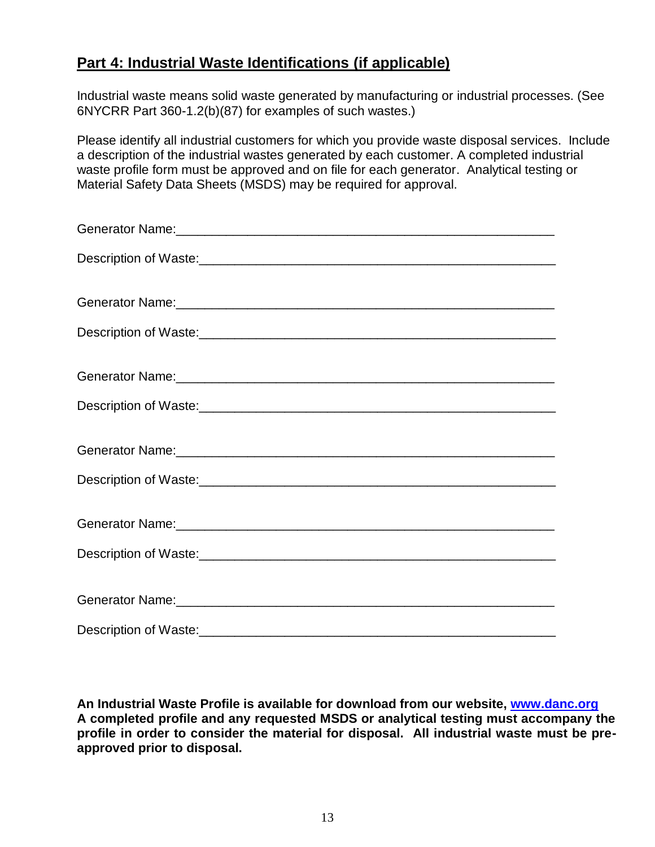# **Part 4: Industrial Waste Identifications (if applicable)**

Industrial waste means solid waste generated by manufacturing or industrial processes. (See 6NYCRR Part 360-1.2(b)(87) for examples of such wastes.)

Please identify all industrial customers for which you provide waste disposal services. Include a description of the industrial wastes generated by each customer. A completed industrial waste profile form must be approved and on file for each generator. Analytical testing or Material Safety Data Sheets (MSDS) may be required for approval.

**An Industrial Waste Profile is available for download from our website, [www.danc.org](http://www.danc.org/) A completed profile and any requested MSDS or analytical testing must accompany the profile in order to consider the material for disposal. All industrial waste must be preapproved prior to disposal.**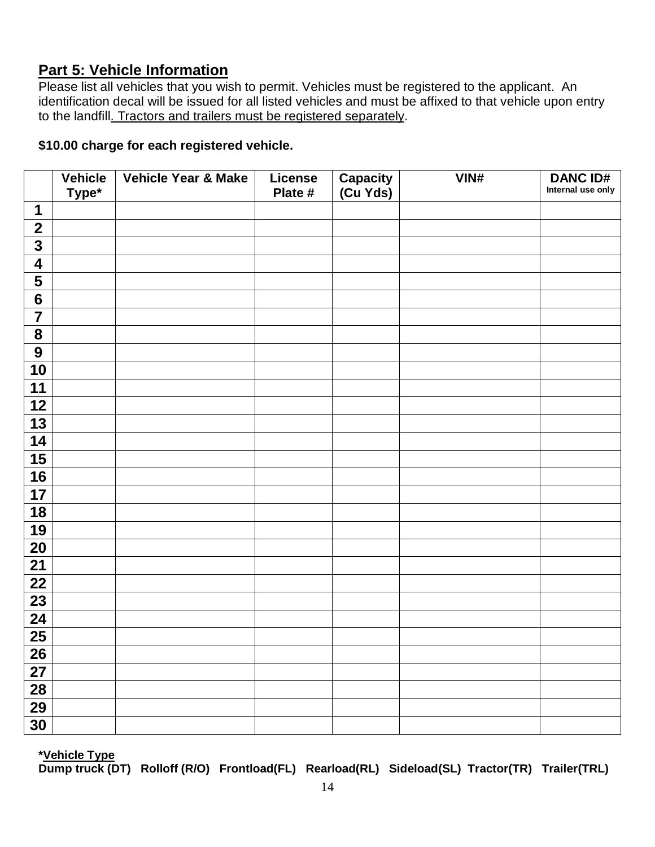### **Part 5: Vehicle Information**

Please list all vehicles that you wish to permit. Vehicles must be registered to the applicant. An identification decal will be issued for all listed vehicles and must be affixed to that vehicle upon entry to the landfill. Tractors and trailers must be registered separately.

### **\$10.00 charge for each registered vehicle.**

|                         | <b>Vehicle</b><br>Type* | <b>Vehicle Year &amp; Make</b> | <b>License</b><br>Plate # | Capacity<br>(Cu Yds) | VIN# | <b>DANC ID#</b><br>Internal use only |
|-------------------------|-------------------------|--------------------------------|---------------------------|----------------------|------|--------------------------------------|
| 1                       |                         |                                |                           |                      |      |                                      |
| $\mathbf{2}$            |                         |                                |                           |                      |      |                                      |
| $\overline{\mathbf{3}}$ |                         |                                |                           |                      |      |                                      |
| $\overline{\mathbf{4}}$ |                         |                                |                           |                      |      |                                      |
| $\overline{\mathbf{5}}$ |                         |                                |                           |                      |      |                                      |
| $6\phantom{1}6$         |                         |                                |                           |                      |      |                                      |
| $\overline{\mathbf{7}}$ |                         |                                |                           |                      |      |                                      |
| ${\bf 8}$               |                         |                                |                           |                      |      |                                      |
| $\overline{9}$          |                         |                                |                           |                      |      |                                      |
| 10                      |                         |                                |                           |                      |      |                                      |
| 11                      |                         |                                |                           |                      |      |                                      |
| 12                      |                         |                                |                           |                      |      |                                      |
| 13                      |                         |                                |                           |                      |      |                                      |
| 14                      |                         |                                |                           |                      |      |                                      |
| 15                      |                         |                                |                           |                      |      |                                      |
| 16                      |                         |                                |                           |                      |      |                                      |
| 17                      |                         |                                |                           |                      |      |                                      |
| 18                      |                         |                                |                           |                      |      |                                      |
| 19                      |                         |                                |                           |                      |      |                                      |
| 20                      |                         |                                |                           |                      |      |                                      |
| $\overline{21}$         |                         |                                |                           |                      |      |                                      |
| 22                      |                         |                                |                           |                      |      |                                      |
| 23                      |                         |                                |                           |                      |      |                                      |
| $\overline{24}$         |                         |                                |                           |                      |      |                                      |
| $\overline{25}$         |                         |                                |                           |                      |      |                                      |
| 26                      |                         |                                |                           |                      |      |                                      |
| 27                      |                         |                                |                           |                      |      |                                      |
| 28                      |                         |                                |                           |                      |      |                                      |
| 29                      |                         |                                |                           |                      |      |                                      |
| 30                      |                         |                                |                           |                      |      |                                      |

**\*Vehicle Type** 

**Dump truck (DT) Rolloff (R/O) Frontload(FL) Rearload(RL) Sideload(SL) Tractor(TR) Trailer(TRL)**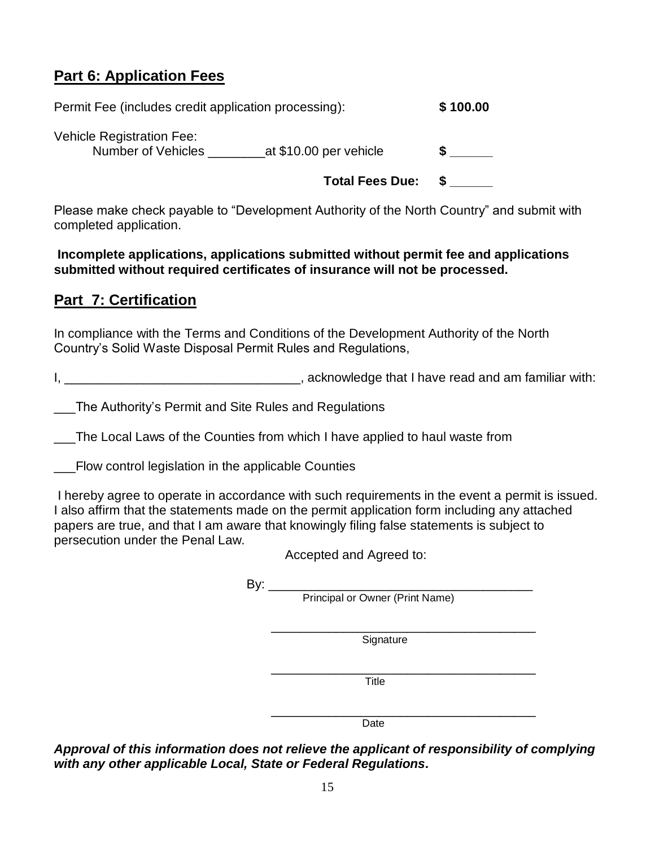# **Part 6: Application Fees**

Permit Fee (includes credit application processing): **\$ 100.00**

Vehicle Registration Fee: Number of Vehicles \_\_\_\_\_\_\_\_at \$10.00 per vehicle **\$ \_\_\_\_\_\_**

**Total Fees Due: \$ \_\_\_\_\_\_**

Please make check payable to "Development Authority of the North Country" and submit with completed application.

**Incomplete applications, applications submitted without permit fee and applications submitted without required certificates of insurance will not be processed.**

# **Part 7: Certification**

In compliance with the Terms and Conditions of the Development Authority of the North Country's Solid Waste Disposal Permit Rules and Regulations,

I, \_\_\_\_\_\_\_\_\_\_\_\_\_\_\_\_\_\_\_\_\_\_\_\_\_\_\_\_\_\_\_\_\_, acknowledge that I have read and am familiar with:

The Authority's Permit and Site Rules and Regulations

\_\_\_The Local Laws of the Counties from which I have applied to haul waste from

\_\_\_Flow control legislation in the applicable Counties

I hereby agree to operate in accordance with such requirements in the event a permit is issued. I also affirm that the statements made on the permit application form including any attached papers are true, and that I am aware that knowingly filing false statements is subject to persecution under the Penal Law.

Accepted and Agreed to:

By: \_\_\_\_\_\_\_\_\_\_\_\_\_\_\_\_\_\_\_\_\_\_\_\_\_\_\_\_\_\_\_\_\_\_\_\_\_

Principal or Owner (Print Name)

 \_\_\_\_\_\_\_\_\_\_\_\_\_\_\_\_\_\_\_\_\_\_\_\_\_\_\_\_\_\_\_\_\_\_\_\_\_ Signature

 \_\_\_\_\_\_\_\_\_\_\_\_\_\_\_\_\_\_\_\_\_\_\_\_\_\_\_\_\_\_\_\_\_\_\_\_\_ Title

 \_\_\_\_\_\_\_\_\_\_\_\_\_\_\_\_\_\_\_\_\_\_\_\_\_\_\_\_\_\_\_\_\_\_\_\_\_ Date

*Approval of this information does not relieve the applicant of responsibility of complying with any other applicable Local, State or Federal Regulations.*